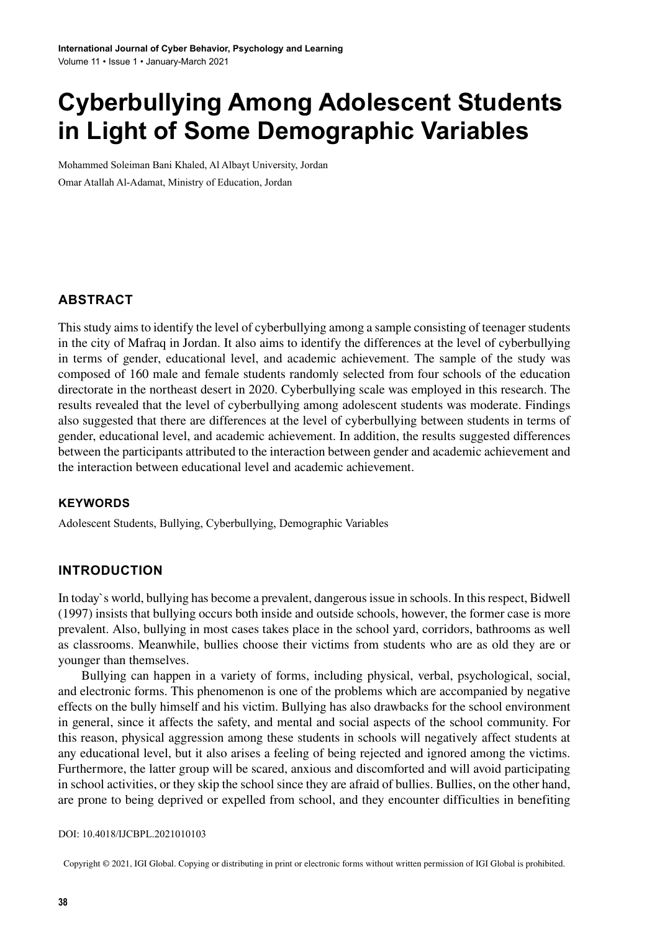# **Cyberbullying Among Adolescent Students in Light of Some Demographic Variables**

Mohammed Soleiman Bani Khaled, Al Albayt University, Jordan Omar Atallah Al-Adamat, Ministry of Education, Jordan

#### **ABSTRACT**

Thisstudy aimsto identify the level of cyberbullying among a sample consisting of teenagerstudents in the city of Mafraq in Jordan. It also aims to identify the differences at the level of cyberbullying in terms of gender, educational level, and academic achievement. The sample of the study was composed of 160 male and female students randomly selected from four schools of the education directorate in the northeast desert in 2020. Cyberbullying scale was employed in this research. The results revealed that the level of cyberbullying among adolescent students was moderate. Findings also suggested that there are differences at the level of cyberbullying between students in terms of gender, educational level, and academic achievement. In addition, the results suggested differences between the participants attributed to the interaction between gender and academic achievement and the interaction between educational level and academic achievement.

#### **Keywords**

Adolescent Students, Bullying, Cyberbullying, Demographic Variables

#### **INTRODUCTION**

In today's world, bullying has become a prevalent, dangerous issue in schools. In this respect, Bidwell (1997) insists that bullying occurs both inside and outside schools, however, the former case is more prevalent. Also, bullying in most cases takes place in the school yard, corridors, bathrooms as well as classrooms. Meanwhile, bullies choose their victims from students who are as old they are or younger than themselves.

Bullying can happen in a variety of forms, including physical, verbal, psychological, social, and electronic forms. This phenomenon is one of the problems which are accompanied by negative effects on the bully himself and his victim. Bullying has also drawbacks for the school environment in general, since it affects the safety, and mental and social aspects of the school community. For this reason, physical aggression among these students in schools will negatively affect students at any educational level, but it also arises a feeling of being rejected and ignored among the victims. Furthermore, the latter group will be scared, anxious and discomforted and will avoid participating in school activities, or they skip the school since they are afraid of bullies. Bullies, on the other hand, are prone to being deprived or expelled from school, and they encounter difficulties in benefiting

#### DOI: 10.4018/IJCBPL.2021010103

Copyright © 2021, IGI Global. Copying or distributing in print or electronic forms without written permission of IGI Global is prohibited.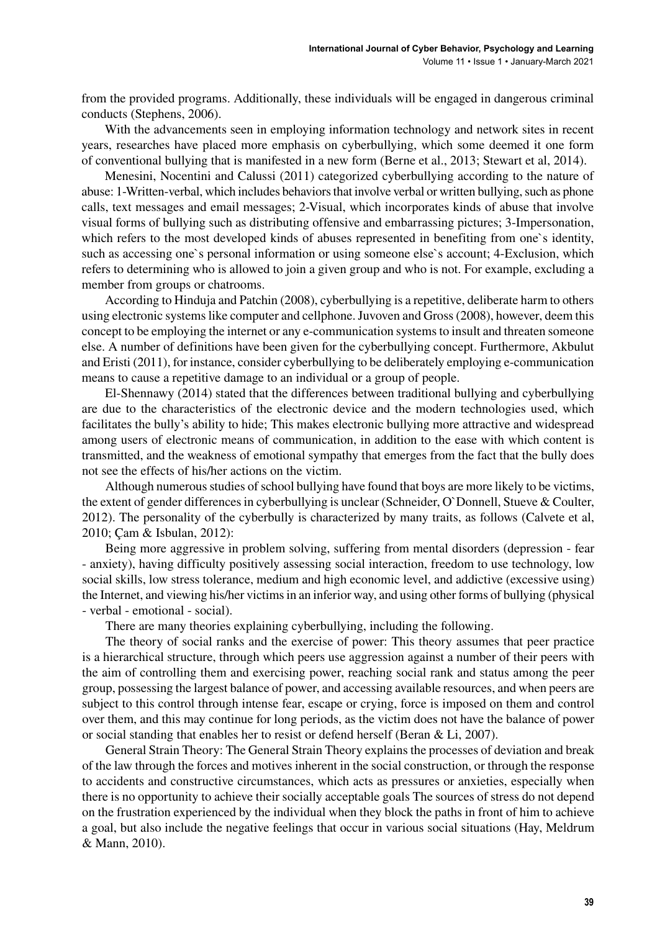from the provided programs. Additionally, these individuals will be engaged in dangerous criminal conducts (Stephens, 2006).

With the advancements seen in employing information technology and network sites in recent years, researches have placed more emphasis on cyberbullying, which some deemed it one form of conventional bullying that is manifested in a new form (Berne et al., 2013; Stewart et al, 2014).

Menesini, Nocentini and Calussi (2011) categorized cyberbullying according to the nature of abuse: 1-Written-verbal, which includes behaviors that involve verbal or written bullying, such as phone calls, text messages and email messages; 2-Visual, which incorporates kinds of abuse that involve visual forms of bullying such as distributing offensive and embarrassing pictures; 3-Impersonation, which refers to the most developed kinds of abuses represented in benefiting from one's identity, such as accessing one`s personal information or using someone else`s account; 4-Exclusion, which refers to determining who is allowed to join a given group and who is not. For example, excluding a member from groups or chatrooms.

According to Hinduja and Patchin (2008), cyberbullying is a repetitive, deliberate harm to others using electronic systemslike computer and cellphone. Juvoven and Gross(2008), however, deem this concept to be employing the internet or any e-communication systems to insult and threaten someone else. A number of definitions have been given for the cyberbullying concept. Furthermore, Akbulut and Eristi (2011), for instance, consider cyberbullying to be deliberately employing e-communication means to cause a repetitive damage to an individual or a group of people.

El-Shennawy (2014) stated that the differences between traditional bullying and cyberbullying are due to the characteristics of the electronic device and the modern technologies used, which facilitates the bully's ability to hide; This makes electronic bullying more attractive and widespread among users of electronic means of communication, in addition to the ease with which content is transmitted, and the weakness of emotional sympathy that emerges from the fact that the bully does not see the effects of his/her actions on the victim.

Although numerous studies of school bullying have found that boys are more likely to be victims, the extent of gender differencesin cyberbullying is unclear (Schneider, O`Donnell, Stueve & Coulter, 2012). The personality of the cyberbully is characterized by many traits, as follows (Calvete et al, 2010; Çam & Isbulan, 2012):

Being more aggressive in problem solving, suffering from mental disorders (depression - fear - anxiety), having difficulty positively assessing social interaction, freedom to use technology, low social skills, low stress tolerance, medium and high economic level, and addictive (excessive using) the Internet, and viewing his/her victimsin an inferior way, and using other forms of bullying (physical - verbal - emotional - social).

There are many theories explaining cyberbullying, including the following.

The theory of social ranks and the exercise of power: This theory assumes that peer practice is a hierarchical structure, through which peers use aggression against a number of their peers with the aim of controlling them and exercising power, reaching social rank and status among the peer group, possessing the largest balance of power, and accessing available resources, and when peers are subject to this control through intense fear, escape or crying, force is imposed on them and control over them, and this may continue for long periods, as the victim does not have the balance of power or social standing that enables her to resist or defend herself (Beran & Li, 2007).

General Strain Theory: The General Strain Theory explainsthe processes of deviation and break of the law through the forces and motives inherent in the social construction, or through the response to accidents and constructive circumstances, which acts as pressures or anxieties, especially when there is no opportunity to achieve their socially acceptable goals The sources of stress do not depend on the frustration experienced by the individual when they block the paths in front of him to achieve a goal, but also include the negative feelings that occur in various social situations (Hay, Meldrum & Mann, 2010).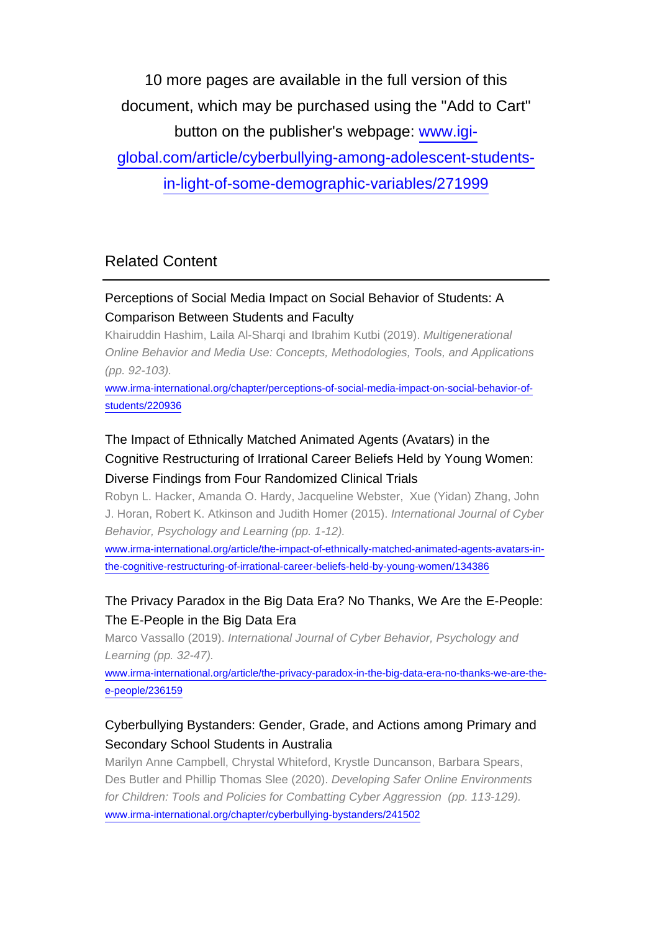10 more pages are available in the full version of this document, which may be purchased using the "Add to Cart" button on the publisher's webpage: [www.igi-](http://www.igi-global.com/article/cyberbullying-among-adolescent-students-in-light-of-some-demographic-variables/271999)

[global.com/article/cyberbullying-among-adolescent-students-](http://www.igi-global.com/article/cyberbullying-among-adolescent-students-in-light-of-some-demographic-variables/271999)

[in-light-of-some-demographic-variables/271999](http://www.igi-global.com/article/cyberbullying-among-adolescent-students-in-light-of-some-demographic-variables/271999)

# Related Content

### Perceptions of Social Media Impact on Social Behavior of Students: A Comparison Between Students and Faculty

Khairuddin Hashim, Laila Al-Sharqi and Ibrahim Kutbi (2019). Multigenerational Online Behavior and Media Use: Concepts, Methodologies, Tools, and Applications (pp. 92-103).

[www.irma-international.org/chapter/perceptions-of-social-media-impact-on-social-behavior-of](http://www.irma-international.org/chapter/perceptions-of-social-media-impact-on-social-behavior-of-students/220936)[students/220936](http://www.irma-international.org/chapter/perceptions-of-social-media-impact-on-social-behavior-of-students/220936)

# The Impact of Ethnically Matched Animated Agents (Avatars) in the Cognitive Restructuring of Irrational Career Beliefs Held by Young Women: Diverse Findings from Four Randomized Clinical Trials

Robyn L. Hacker, Amanda O. Hardy, Jacqueline Webster, Xue (Yidan) Zhang, John J. Horan, Robert K. Atkinson and Judith Homer (2015). International Journal of Cyber Behavior, Psychology and Learning (pp. 1-12).

[www.irma-international.org/article/the-impact-of-ethnically-matched-animated-agents-avatars-in](http://www.irma-international.org/article/the-impact-of-ethnically-matched-animated-agents-avatars-in-the-cognitive-restructuring-of-irrational-career-beliefs-held-by-young-women/134386)[the-cognitive-restructuring-of-irrational-career-beliefs-held-by-young-women/134386](http://www.irma-international.org/article/the-impact-of-ethnically-matched-animated-agents-avatars-in-the-cognitive-restructuring-of-irrational-career-beliefs-held-by-young-women/134386)

# The Privacy Paradox in the Big Data Era? No Thanks, We Are the E-People: The E-People in the Big Data Era

Marco Vassallo (2019). International Journal of Cyber Behavior, Psychology and Learning (pp. 32-47).

[www.irma-international.org/article/the-privacy-paradox-in-the-big-data-era-no-thanks-we-are-the](http://www.irma-international.org/article/the-privacy-paradox-in-the-big-data-era-no-thanks-we-are-the-e-people/236159)[e-people/236159](http://www.irma-international.org/article/the-privacy-paradox-in-the-big-data-era-no-thanks-we-are-the-e-people/236159)

### Cyberbullying Bystanders: Gender, Grade, and Actions among Primary and Secondary School Students in Australia

Marilyn Anne Campbell, Chrystal Whiteford, Krystle Duncanson, Barbara Spears, Des Butler and Phillip Thomas Slee (2020). Developing Safer Online Environments for Children: Tools and Policies for Combatting Cyber Aggression (pp. 113-129). [www.irma-international.org/chapter/cyberbullying-bystanders/241502](http://www.irma-international.org/chapter/cyberbullying-bystanders/241502)